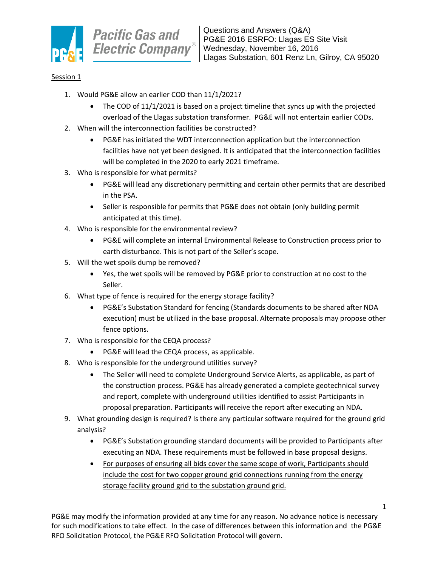

## Session 1

- 1. Would PG&E allow an earlier COD than 11/1/2021?
	- The COD of 11/1/2021 is based on a project timeline that syncs up with the projected overload of the Llagas substation transformer. PG&E will not entertain earlier CODs.
- 2. When will the interconnection facilities be constructed?
	- PG&E has initiated the WDT interconnection application but the interconnection facilities have not yet been designed. It is anticipated that the interconnection facilities will be completed in the 2020 to early 2021 timeframe.
- 3. Who is responsible for what permits?
	- PG&E will lead any discretionary permitting and certain other permits that are described in the PSA.
	- Seller is responsible for permits that PG&E does not obtain (only building permit anticipated at this time).
- 4. Who is responsible for the environmental review?
	- PG&E will complete an internal Environmental Release to Construction process prior to earth disturbance. This is not part of the Seller's scope.
- 5. Will the wet spoils dump be removed?
	- Yes, the wet spoils will be removed by PG&E prior to construction at no cost to the Seller.
- 6. What type of fence is required for the energy storage facility?
	- PG&E's Substation Standard for fencing (Standards documents to be shared after NDA execution) must be utilized in the base proposal. Alternate proposals may propose other fence options.
- 7. Who is responsible for the CEQA process?
	- PG&E will lead the CEQA process, as applicable.
- 8. Who is responsible for the underground utilities survey?
	- The Seller will need to complete Underground Service Alerts, as applicable, as part of the construction process. PG&E has already generated a complete geotechnical survey and report, complete with underground utilities identified to assist Participants in proposal preparation. Participants will receive the report after executing an NDA.
- 9. What grounding design is required? Is there any particular software required for the ground grid analysis?
	- PG&E's Substation grounding standard documents will be provided to Participants after executing an NDA. These requirements must be followed in base proposal designs.
	- For purposes of ensuring all bids cover the same scope of work, Participants should include the cost for two copper ground grid connections running from the energy storage facility ground grid to the substation ground grid.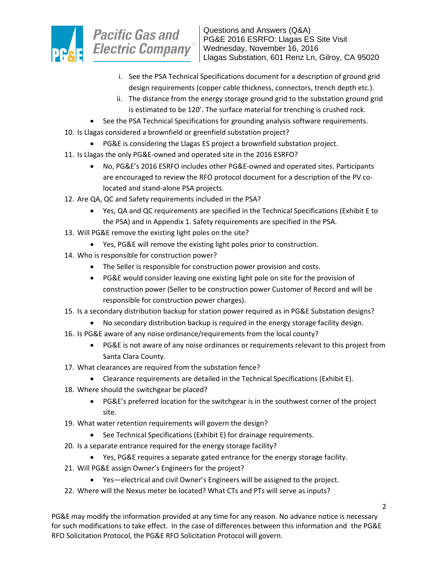

- i. See the PSA Technical Specifications document for a description of ground grid design requirements (copper cable thickness, connectors, trench depth etc.).
- ii. The distance from the energy storage ground grid to the substation ground grid is estimated to be 120'. The surface material for trenching is crushed rock.
- See the PSA Technical Specifications for grounding analysis software requirements.
- 10. Is Llagas considered a brownfield or greenfield substation project?
	- PG&E is considering the Llagas ES project a brownfield substation project.
- 11. Is Llagas the only PG&E-owned and operated site in the 2016 ESRFO?
	- No, PG&E's 2016 ESRFO includes other PG&E-owned and operated sites. Participants are encouraged to review the RFO protocol document for a description of the PV colocated and stand-alone PSA projects.
- 12. Are QA, QC and Safety requirements included in the PSA?
	- Yes, QA and QC requirements are specified in the Technical Specifications (Exhibit E to the PSA) and in Appendix 1. Safety requirements are specified in the PSA.
- 13. Will PG&E remove the existing light poles on the site?
	- Yes, PG&E will remove the existing light poles prior to construction.
- 14. Who is responsible for construction power?
	- The Seller is responsible for construction power provision and costs.
	- PG&E would consider leaving one existing light pole on site for the provision of construction power (Seller to be construction power Customer of Record and will be responsible for construction power charges).
- 15. Is a secondary distribution backup for station power required as in PG&E Substation designs?
	- No secondary distribution backup is required in the energy storage facility design.
- 16. Is PG&E aware of any noise ordinance/requirements from the local county?
	- PG&E is not aware of any noise ordinances or requirements relevant to this project from Santa Clara County.
- 17. What clearances are required from the substation fence?
	- Clearance requirements are detailed in the Technical Specifications (Exhibit E).
- 18. Where should the switchgear be placed?
	- PG&E's preferred location for the switchgear is in the southwest corner of the project site.
- 19. What water retention requirements will govern the design?
	- See Technical Specifications (Exhibit E) for drainage requirements.
- 20. Is a separate entrance required for the energy storage facility?
	- Yes, PG&E requires a separate gated entrance for the energy storage facility.
- 21. Will PG&E assign Owner's Engineers for the project?
	- Yes—electrical and civil Owner's Engineers will be assigned to the project.
- 22. Where will the Nexus meter be located? What CTs and PTs will serve as inputs?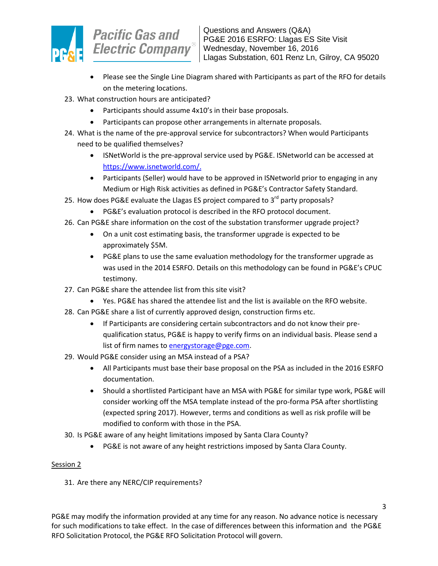

- Please see the Single Line Diagram shared with Participants as part of the RFO for details on the metering locations.
- 23. What construction hours are anticipated?
	- Participants should assume 4x10's in their base proposals.
	- Participants can propose other arrangements in alternate proposals.
- 24. What is the name of the pre-approval service for subcontractors? When would Participants need to be qualified themselves?
	- ISNetWorld is the pre-approval service used by PG&E. ISNetworld can be accessed at [https://www.isnetworld.com/.](https://www.isnetworld.com/)
	- Participants (Seller) would have to be approved in ISNetworld prior to engaging in any Medium or High Risk activities as defined in PG&E's Contractor Safety Standard.
- 25. How does PG&E evaluate the Llagas ES project compared to 3<sup>rd</sup> party proposals?
	- PG&E's evaluation protocol is described in the RFO protocol document.
- 26. Can PG&E share information on the cost of the substation transformer upgrade project?
	- On a unit cost estimating basis, the transformer upgrade is expected to be approximately \$5M.
	- PG&E plans to use the same evaluation methodology for the transformer upgrade as was used in the 2014 ESRFO. Details on this methodology can be found in PG&E's CPUC testimony.
- 27. Can PG&E share the attendee list from this site visit?
	- Yes. PG&E has shared the attendee list and the list is available on the RFO website.
- 28. Can PG&E share a list of currently approved design, construction firms etc.
	- If Participants are considering certain subcontractors and do not know their prequalification status, PG&E is happy to verify firms on an individual basis. Please send a list of firm names to [energystorage@pge.com.](mailto:energystorage@pge.com)
- 29. Would PG&E consider using an MSA instead of a PSA?
	- All Participants must base their base proposal on the PSA as included in the 2016 ESRFO documentation.
	- Should a shortlisted Participant have an MSA with PG&E for similar type work, PG&E will consider working off the MSA template instead of the pro-forma PSA after shortlisting (expected spring 2017). However, terms and conditions as well as risk profile will be modified to conform with those in the PSA.
- 30. Is PG&E aware of any height limitations imposed by Santa Clara County?
	- PG&E is not aware of any height restrictions imposed by Santa Clara County.

## Session 2

31. Are there any NERC/CIP requirements?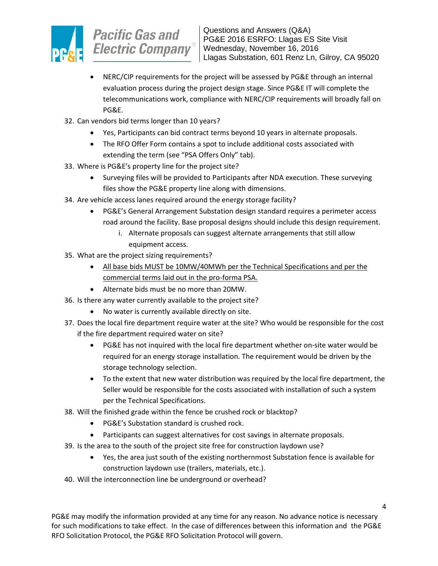

- NERC/CIP requirements for the project will be assessed by PG&E through an internal evaluation process during the project design stage. Since PG&E IT will complete the telecommunications work, compliance with NERC/CIP requirements will broadly fall on PG&E.
- 32. Can vendors bid terms longer than 10 years?
	- Yes, Participants can bid contract terms beyond 10 years in alternate proposals.
	- The RFO Offer Form contains a spot to include additional costs associated with extending the term (see "PSA Offers Only" tab).
- 33. Where is PG&E's property line for the project site?
	- Surveying files will be provided to Participants after NDA execution. These surveying files show the PG&E property line along with dimensions.
- 34. Are vehicle access lanes required around the energy storage facility?
	- PG&E's General Arrangement Substation design standard requires a perimeter access road around the facility. Base proposal designs should include this design requirement.
		- i. Alternate proposals can suggest alternate arrangements that still allow equipment access.
- 35. What are the project sizing requirements?
	- All base bids MUST be 10MW/40MWh per the Technical Specifications and per the commercial terms laid out in the pro-forma PSA.
	- Alternate bids must be no more than 20MW.
- 36. Is there any water currently available to the project site?
	- No water is currently available directly on site.
- 37. Does the local fire department require water at the site? Who would be responsible for the cost if the fire department required water on site?
	- PG&E has not inquired with the local fire department whether on-site water would be required for an energy storage installation. The requirement would be driven by the storage technology selection.
	- To the extent that new water distribution was required by the local fire department, the Seller would be responsible for the costs associated with installation of such a system per the Technical Specifications.
- 38. Will the finished grade within the fence be crushed rock or blacktop?
	- PG&E's Substation standard is crushed rock.
	- Participants can suggest alternatives for cost savings in alternate proposals.
- 39. Is the area to the south of the project site free for construction laydown use?
	- Yes, the area just south of the existing northernmost Substation fence is available for construction laydown use (trailers, materials, etc.).
- 40. Will the interconnection line be underground or overhead?